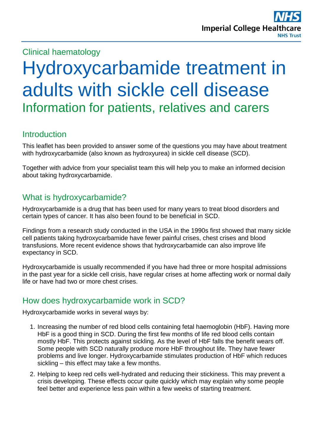## Clinical haematology

# Hydroxycarbamide treatment in adults with sickle cell disease Information for patients, relatives and carers

## **Introduction**

This leaflet has been provided to answer some of the questions you may have about treatment with hydroxycarbamide (also known as hydroxyurea) in sickle cell disease (SCD).

Together with advice from your specialist team this will help you to make an informed decision about taking hydroxycarbamide.

## What is hydroxycarbamide?

Hydroxycarbamide is a drug that has been used for many years to treat blood disorders and certain types of cancer. It has also been found to be beneficial in SCD.

Findings from a research study conducted in the USA in the 1990s first showed that many sickle cell patients taking hydroxycarbamide have fewer painful crises, chest crises and blood transfusions. More recent evidence shows that hydroxycarbamide can also improve life expectancy in SCD.

Hydroxycarbamide is usually recommended if you have had three or more hospital admissions in the past year for a sickle cell crisis, have regular crises at home affecting work or normal daily life or have had two or more chest crises.

## How does hydroxycarbamide work in SCD?

Hydroxycarbamide works in several ways by:

- 1. Increasing the number of red blood cells containing fetal haemoglobin (HbF). Having more HbF is a good thing in SCD. During the first few months of life red blood cells contain mostly HbF. This protects against sickling. As the level of HbF falls the benefit wears off. Some people with SCD naturally produce more HbF throughout life. They have fewer problems and live longer. Hydroxycarbamide stimulates production of HbF which reduces sickling – this effect may take a few months.
- 2. Helping to keep red cells well-hydrated and reducing their stickiness. This may prevent a crisis developing. These effects occur quite quickly which may explain why some people feel better and experience less pain within a few weeks of starting treatment.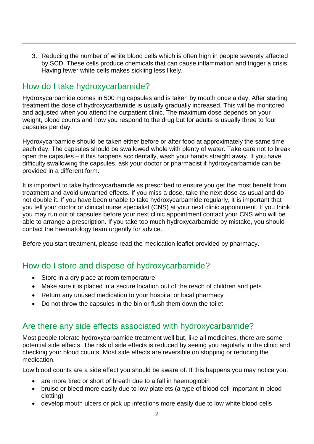3. Reducing the number of white blood cells which is often high in people severely affected by SCD. These cells produce chemicals that can cause inflammation and trigger a crisis. Having fewer white cells makes sickling less likely.

## How do I take hydroxycarbamide?

Hydroxycarbamide comes in 500 mg capsules and is taken by mouth once a day. After starting treatment the dose of hydroxycarbamide is usually gradually increased. This will be monitored and adjusted when you attend the outpatient clinic. The maximum dose depends on your weight, blood counts and how you respond to the drug but for adults is usually three to four capsules per day.

Hydroxycarbamide should be taken either before or after food at approximately the same time each day. The capsules should be swallowed whole with plenty of water. Take care not to break open the capsules – if this happens accidentally, wash your hands straight away. If you have difficulty swallowing the capsules, ask your doctor or pharmacist if hydroxycarbamide can be provided in a different form.

It is important to take hydroxycarbamide as prescribed to ensure you get the most benefit from treatment and avoid unwanted effects. If you miss a dose, take the next dose as usual and do not double it. If you have been unable to take hydroxycarbamide regularly, it is important that you tell your doctor or clinical nurse specialist (CNS) at your next clinic appointment. If you think you may run out of capsules before your next clinic appointment contact your CNS who will be able to arrange a prescription. If you take too much hydroxycarbamide by mistake, you should contact the haematology team urgently for advice.

Before you start treatment, please read the medication leaflet provided by pharmacy.

## How do I store and dispose of hydroxycarbamide?

- Store in a dry place at room temperature
- Make sure it is placed in a secure location out of the reach of children and pets
- Return any unused medication to your hospital or local pharmacy
- Do not throw the capsules in the bin or flush them down the toilet

## Are there any side effects associated with hydroxycarbamide?

Most people tolerate hydroxycarbamide treatment well but, like all medicines, there are some potential side effects. The risk of side effects is reduced by seeing you regularly in the clinic and checking your blood counts. Most side effects are reversible on stopping or reducing the medication.

Low blood counts are a side effect you should be aware of. If this happens you may notice you:

- are more tired or short of breath due to a fall in haemoglobin
- bruise or bleed more easily due to low platelets (a type of blood cell important in blood clotting)
- develop mouth ulcers or pick up infections more easily due to low white blood cells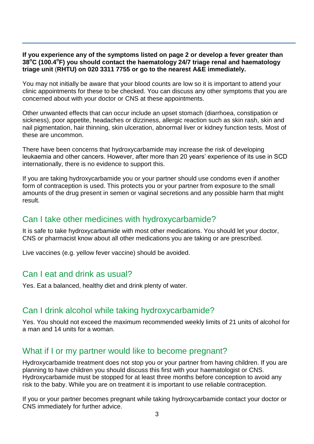#### **If you experience any of the symptoms listed on page 2 or develop a fever greater than 38<sup>o</sup>C (100.4<sup>o</sup> F) you should contact the haematology 24/7 triage renal and haematology triage unit** (**RHTU) on 020 3311 7755 or go to the nearest A&E immediately.**

You may not initially be aware that your blood counts are low so it is important to attend your clinic appointments for these to be checked. You can discuss any other symptoms that you are concerned about with your doctor or CNS at these appointments.

Other unwanted effects that can occur include an upset stomach (diarrhoea, constipation or sickness), poor appetite, headaches or dizziness, allergic reaction such as skin rash, skin and nail pigmentation, hair thinning, skin ulceration, abnormal liver or kidney function tests. Most of these are uncommon.

There have been concerns that hydroxycarbamide may increase the risk of developing leukaemia and other cancers. However, after more than 20 years' experience of its use in SCD internationally, there is no evidence to support this.

If you are taking hydroxycarbamide you or your partner should use condoms even if another form of contraception is used. This protects you or your partner from exposure to the small amounts of the drug present in semen or vaginal secretions and any possible harm that might result.

## Can I take other medicines with hydroxycarbamide?

It is safe to take hydroxycarbamide with most other medications. You should let your doctor, CNS or pharmacist know about all other medications you are taking or are prescribed.

Live vaccines (e.g. yellow fever vaccine) should be avoided.

#### Can I eat and drink as usual?

Yes. Eat a balanced, healthy diet and drink plenty of water.

### Can I drink alcohol while taking hydroxycarbamide?

Yes. You should not exceed the maximum recommended weekly limits of 21 units of alcohol for a man and 14 units for a woman.

### What if I or my partner would like to become pregnant?

Hydroxycarbamide treatment does not stop you or your partner from having children. If you are planning to have children you should discuss this first with your haematologist or CNS. Hydroxycarbamide must be stopped for at least three months before conception to avoid any risk to the baby. While you are on treatment it is important to use reliable contraception.

If you or your partner becomes pregnant while taking hydroxycarbamide contact your doctor or CNS immediately for further advice.